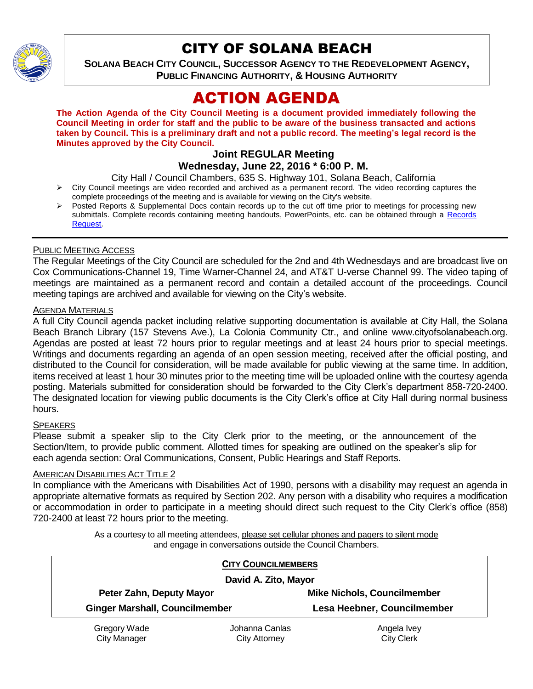

# CITY OF SOLANA BEACH

**SOLANA BEACH CITY COUNCIL, SUCCESSOR AGENCY TO THE REDEVELOPMENT AGENCY, PUBLIC FINANCING AUTHORITY, & HOUSING AUTHORITY** 

# ACTION AGENDA

**The Action Agenda of the City Council Meeting is a document provided immediately following the Council Meeting in order for staff and the public to be aware of the business transacted and actions taken by Council. This is a preliminary draft and not a public record. The meeting's legal record is the Minutes approved by the City Council.**

#### **Joint REGULAR Meeting Wednesday, June 22, 2016 \* 6:00 P. M.**

City Hall / Council Chambers, 635 S. Highway 101, Solana Beach, California

- $\triangleright$  City Council meetings are video recorded and archived as a permanent record. The video recording captures the complete proceedings of the meeting and is available for viewing on the City's website.
- Posted Reports & Supplemental Docs contain records up to the cut off time prior to meetings for processing new submittals. Complete records containing meeting handouts, PowerPoints, etc. can be obtained through a Records [Request.](http://www.ci.solana-beach.ca.us/index.asp?SEC=F5D45D10-70CE-4291-A27C-7BD633FC6742&Type=B_BASIC)

### PUBLIC MEETING ACCESS

The Regular Meetings of the City Council are scheduled for the 2nd and 4th Wednesdays and are broadcast live on Cox Communications-Channel 19, Time Warner-Channel 24, and AT&T U-verse Channel 99. The video taping of meetings are maintained as a permanent record and contain a detailed account of the proceedings. Council meeting tapings are archived and available for viewing on the City's website.

### AGENDA MATERIALS

A full City Council agenda packet including relative supporting documentation is available at City Hall, the Solana Beach Branch Library (157 Stevens Ave.), La Colonia Community Ctr., and online www.cityofsolanabeach.org. Agendas are posted at least 72 hours prior to regular meetings and at least 24 hours prior to special meetings. Writings and documents regarding an agenda of an open session meeting, received after the official posting, and distributed to the Council for consideration, will be made available for public viewing at the same time. In addition, items received at least 1 hour 30 minutes prior to the meeting time will be uploaded online with the courtesy agenda posting. Materials submitted for consideration should be forwarded to the City Clerk's department 858-720-2400. The designated location for viewing public documents is the City Clerk's office at City Hall during normal business hours.

### SPEAKERS

Please submit a speaker slip to the City Clerk prior to the meeting, or the announcement of the Section/Item, to provide public comment. Allotted times for speaking are outlined on the speaker's slip for each agenda section: Oral Communications, Consent, Public Hearings and Staff Reports.

#### AMERICAN DISABILITIES ACT TITLE 2

In compliance with the Americans with Disabilities Act of 1990, persons with a disability may request an agenda in appropriate alternative formats as required by Section 202. Any person with a disability who requires a modification or accommodation in order to participate in a meeting should direct such request to the City Clerk's office (858) 720-2400 at least 72 hours prior to the meeting.

> As a courtesy to all meeting attendees, please set cellular phones and pagers to silent mode and engage in conversations outside the Council Chambers.

|                                       | <b>CITY COUNCILMEMBERS</b> |                                    |
|---------------------------------------|----------------------------|------------------------------------|
| David A. Zito, Mayor                  |                            |                                    |
| Peter Zahn, Deputy Mayor              |                            | <b>Mike Nichols, Councilmember</b> |
| <b>Ginger Marshall, Councilmember</b> |                            | Lesa Heebner, Councilmember        |
| Gregory Wade                          | Johanna Canlas             | Angela Ivey                        |
| <b>City Manager</b>                   | <b>City Attorney</b>       | <b>City Clerk</b>                  |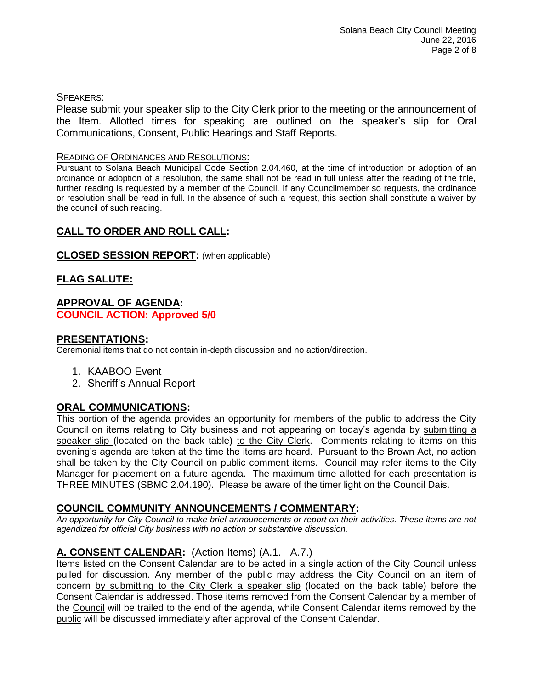# SPEAKERS:

Please submit your speaker slip to the City Clerk prior to the meeting or the announcement of the Item. Allotted times for speaking are outlined on the speaker's slip for Oral Communications, Consent, Public Hearings and Staff Reports.

### READING OF ORDINANCES AND RESOLUTIONS:

Pursuant to Solana Beach Municipal Code Section 2.04.460, at the time of introduction or adoption of an ordinance or adoption of a resolution, the same shall not be read in full unless after the reading of the title, further reading is requested by a member of the Council. If any Councilmember so requests, the ordinance or resolution shall be read in full. In the absence of such a request, this section shall constitute a waiver by the council of such reading.

# **CALL TO ORDER AND ROLL CALL:**

### **CLOSED SESSION REPORT:** (when applicable)

# **FLAG SALUTE:**

#### **APPROVAL OF AGENDA: COUNCIL ACTION: Approved 5/0**

# **PRESENTATIONS:**

Ceremonial items that do not contain in-depth discussion and no action/direction.

- 1. KAABOO Event
- 2. Sheriff's Annual Report

# **ORAL COMMUNICATIONS:**

This portion of the agenda provides an opportunity for members of the public to address the City Council on items relating to City business and not appearing on today's agenda by submitting a speaker slip (located on the back table) to the City Clerk. Comments relating to items on this evening's agenda are taken at the time the items are heard. Pursuant to the Brown Act, no action shall be taken by the City Council on public comment items. Council may refer items to the City Manager for placement on a future agenda. The maximum time allotted for each presentation is THREE MINUTES (SBMC 2.04.190). Please be aware of the timer light on the Council Dais.

# **COUNCIL COMMUNITY ANNOUNCEMENTS / COMMENTARY:**

*An opportunity for City Council to make brief announcements or report on their activities. These items are not agendized for official City business with no action or substantive discussion.* 

# **A. CONSENT CALENDAR:** (Action Items) (A.1. - A.7.)

Items listed on the Consent Calendar are to be acted in a single action of the City Council unless pulled for discussion. Any member of the public may address the City Council on an item of concern by submitting to the City Clerk a speaker slip (located on the back table) before the Consent Calendar is addressed. Those items removed from the Consent Calendar by a member of the Council will be trailed to the end of the agenda, while Consent Calendar items removed by the public will be discussed immediately after approval of the Consent Calendar.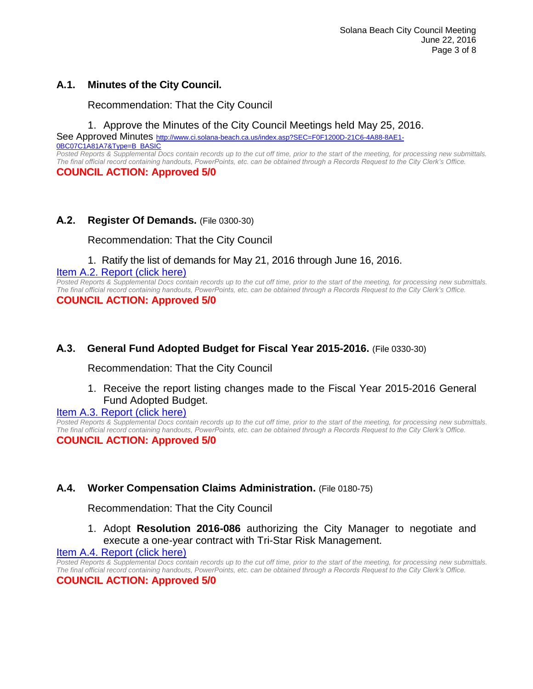# **A.1. Minutes of the City Council.**

Recommendation: That the City Council

1. Approve the Minutes of the City Council Meetings held May 25, 2016.

See Approved Minutes [http://www.ci.solana-beach.ca.us/index.asp?SEC=F0F1200D-21C6-4A88-8AE1-](http://www.ci.solana-beach.ca.us/index.asp?SEC=F0F1200D-21C6-4A88-8AE1-0BC07C1A81A7&Type=B_BASIC) [0BC07C1A81A7&Type=B\\_BASIC](http://www.ci.solana-beach.ca.us/index.asp?SEC=F0F1200D-21C6-4A88-8AE1-0BC07C1A81A7&Type=B_BASIC)

*Posted Reports & Supplemental Docs contain records up to the cut off time, prior to the start of the meeting, for processing new submittals. The final official record containing handouts, PowerPoints, etc. can be obtained through a Records Request to the City Clerk's Office.* **COUNCIL ACTION: Approved 5/0**

# **A.2. Register Of Demands.** (File 0300-30)

Recommendation: That the City Council

# 1. Ratify the list of demands for May 21, 2016 through June 16, 2016.

[Item A.2. Report \(click here\)](https://solanabeach.govoffice3.com/vertical/Sites/%7B840804C2-F869-4904-9AE3-720581350CE7%7D/uploads/Item_A.2._Report_(click_here)_06-22-16.PDF)

*Posted Reports & Supplemental Docs contain records up to the cut off time, prior to the start of the meeting, for processing new submittals. The final official record containing handouts, PowerPoints, etc. can be obtained through a Records Request to the City Clerk's Office.* **COUNCIL ACTION: Approved 5/0**

# **A.3. General Fund Adopted Budget for Fiscal Year 2015-2016.** (File 0330-30)

Recommendation: That the City Council

1. Receive the report listing changes made to the Fiscal Year 2015-2016 General Fund Adopted Budget.

#### [Item A.3. Report \(click here\)](https://solanabeach.govoffice3.com/vertical/Sites/%7B840804C2-F869-4904-9AE3-720581350CE7%7D/uploads/Item_A.3._Report_(click_here)_06-22-16.PDF)

*Posted Reports & Supplemental Docs contain records up to the cut off time, prior to the start of the meeting, for processing new submittals. The final official record containing handouts, PowerPoints, etc. can be obtained through a Records Request to the City Clerk's Office.* **COUNCIL ACTION: Approved 5/0**

# **A.4. Worker Compensation Claims Administration.** (File 0180-75)

Recommendation: That the City Council

1. Adopt **Resolution 2016-086** authorizing the City Manager to negotiate and execute a one-year contract with Tri-Star Risk Management.

#### [Item A.4. Report \(click here\)](https://solanabeach.govoffice3.com/vertical/Sites/%7B840804C2-F869-4904-9AE3-720581350CE7%7D/uploads/Item_A.4._Report_(click_here)_06-22-16.PDF)

*Posted Reports & Supplemental Docs contain records up to the cut off time, prior to the start of the meeting, for processing new submittals. The final official record containing handouts, PowerPoints, etc. can be obtained through a Records Request to the City Clerk's Office.* **COUNCIL ACTION: Approved 5/0**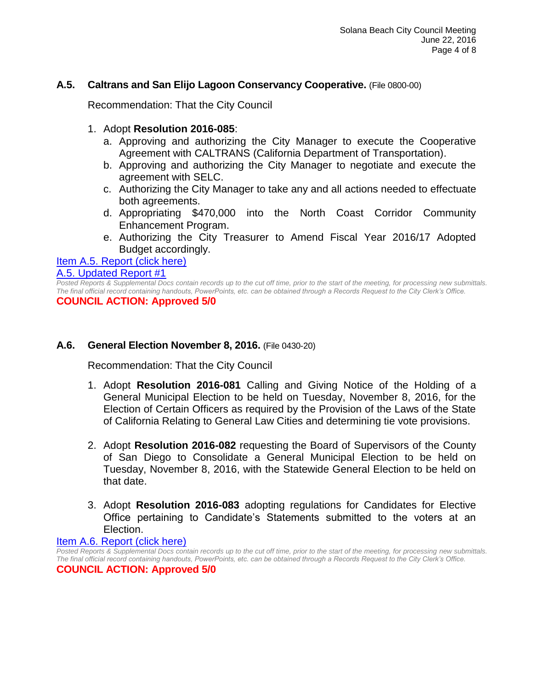# **A.5. Caltrans and San Elijo Lagoon Conservancy Cooperative.** (File 0800-00)

Recommendation: That the City Council

- 1. Adopt **Resolution 2016-085**:
	- a. Approving and authorizing the City Manager to execute the Cooperative Agreement with CALTRANS (California Department of Transportation).
	- b. Approving and authorizing the City Manager to negotiate and execute the agreement with SELC.
	- c. Authorizing the City Manager to take any and all actions needed to effectuate both agreements.
	- d. Appropriating \$470,000 into the North Coast Corridor Community Enhancement Program.
	- e. Authorizing the City Treasurer to Amend Fiscal Year 2016/17 Adopted Budget accordingly.

#### Item A.5. [Report \(click here\)](https://solanabeach.govoffice3.com/vertical/Sites/%7B840804C2-F869-4904-9AE3-720581350CE7%7D/uploads/Item_A.5._Report_(click_here)_06-22-16.PDF)

### [A.5. Updated Report #1](https://solanabeach.govoffice3.com/vertical/Sites/%7B840804C2-F869-4904-9AE3-720581350CE7%7D/uploads/A.5._Updated_Report_1_6-22-16.pdf)

*Posted Reports & Supplemental Docs contain records up to the cut off time, prior to the start of the meeting, for processing new submittals. The final official record containing handouts, PowerPoints, etc. can be obtained through a Records Request to the City Clerk's Office.*

**COUNCIL ACTION: Approved 5/0**

# **A.6. General Election November 8, 2016.** (File 0430-20)

Recommendation: That the City Council

- 1. Adopt **Resolution 2016-081** Calling and Giving Notice of the Holding of a General Municipal Election to be held on Tuesday, November 8, 2016, for the Election of Certain Officers as required by the Provision of the Laws of the State of California Relating to General Law Cities and determining tie vote provisions.
- 2. Adopt **Resolution 2016-082** requesting the Board of Supervisors of the County of San Diego to Consolidate a General Municipal Election to be held on Tuesday, November 8, 2016, with the Statewide General Election to be held on that date.
- 3. Adopt **Resolution 2016-083** adopting regulations for Candidates for Elective Office pertaining to Candidate's Statements submitted to the voters at an Election.

[Item A.6. Report \(click here\)](https://solanabeach.govoffice3.com/vertical/Sites/%7B840804C2-F869-4904-9AE3-720581350CE7%7D/uploads/Item_A.6._Report_(click_here)_06-22-16.PDF)

*Posted Reports & Supplemental Docs contain records up to the cut off time, prior to the start of the meeting, for processing new submittals. The final official record containing handouts, PowerPoints, etc. can be obtained through a Records Request to the City Clerk's Office.*

**COUNCIL ACTION: Approved 5/0**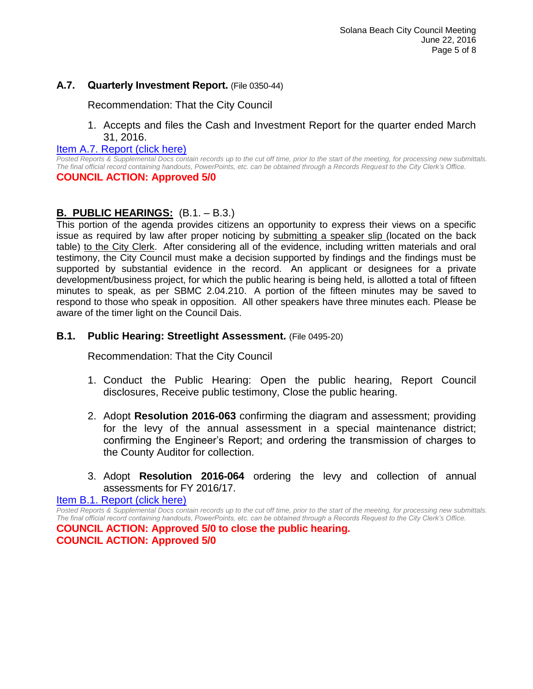# **A.7. Quarterly Investment Report.** (File 0350-44)

Recommendation: That the City Council

1. Accepts and files the Cash and Investment Report for the quarter ended March 31, 2016.

#### [Item A.7. Report \(click here\)](https://solanabeach.govoffice3.com/vertical/Sites/%7B840804C2-F869-4904-9AE3-720581350CE7%7D/uploads/Item_A.7._Report_(click_here)_06-22-16.PDF)

*Posted Reports & Supplemental Docs contain records up to the cut off time, prior to the start of the meeting, for processing new submittals. The final official record containing handouts, PowerPoints, etc. can be obtained through a Records Request to the City Clerk's Office.* **COUNCIL ACTION: Approved 5/0**

# **B. PUBLIC HEARINGS:** (B.1. – B.3.)

This portion of the agenda provides citizens an opportunity to express their views on a specific issue as required by law after proper noticing by submitting a speaker slip (located on the back table) to the City Clerk. After considering all of the evidence, including written materials and oral testimony, the City Council must make a decision supported by findings and the findings must be supported by substantial evidence in the record. An applicant or designees for a private development/business project, for which the public hearing is being held, is allotted a total of fifteen minutes to speak, as per SBMC 2.04.210. A portion of the fifteen minutes may be saved to respond to those who speak in opposition. All other speakers have three minutes each. Please be aware of the timer light on the Council Dais.

# **B.1. Public Hearing: Streetlight Assessment.** (File 0495-20)

Recommendation: That the City Council

- 1. Conduct the Public Hearing: Open the public hearing, Report Council disclosures, Receive public testimony, Close the public hearing.
- 2. Adopt **Resolution 2016-063** confirming the diagram and assessment; providing for the levy of the annual assessment in a special maintenance district; confirming the Engineer's Report; and ordering the transmission of charges to the County Auditor for collection.
- 3. Adopt **Resolution 2016-064** ordering the levy and collection of annual assessments for FY 2016/17.

[Item B.1. Report \(click here\)](https://solanabeach.govoffice3.com/vertical/Sites/%7B840804C2-F869-4904-9AE3-720581350CE7%7D/uploads/Item_B.1._Report_(click_here)_06-22-16.PDF)

*Posted Reports & Supplemental Docs contain records up to the cut off time, prior to the start of the meeting, for processing new submittals. The final official record containing handouts, PowerPoints, etc. can be obtained through a Records Request to the City Clerk's Office.* **COUNCIL ACTION: Approved 5/0 to close the public hearing. COUNCIL ACTION: Approved 5/0**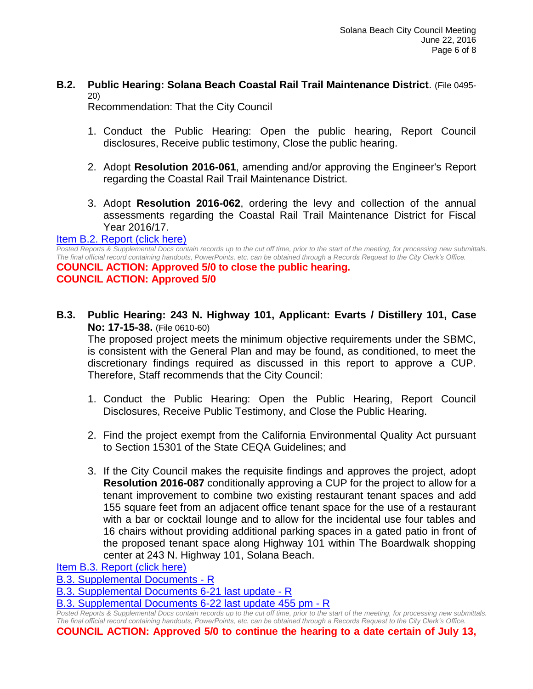# **B.2. Public Hearing: Solana Beach Coastal Rail Trail Maintenance District**. (File 0495- 20)

Recommendation: That the City Council

- 1. Conduct the Public Hearing: Open the public hearing, Report Council disclosures, Receive public testimony, Close the public hearing.
- 2. Adopt **Resolution 2016-061**, amending and/or approving the Engineer's Report regarding the Coastal Rail Trail Maintenance District.
- 3. Adopt **Resolution 2016-062**, ordering the levy and collection of the annual assessments regarding the Coastal Rail Trail Maintenance District for Fiscal Year 2016/17.

#### [Item B.2. Report \(click here\)](https://solanabeach.govoffice3.com/vertical/Sites/%7B840804C2-F869-4904-9AE3-720581350CE7%7D/uploads/Item_B.2._Report_(click_here)_06-22-16.PDF)

*Posted Reports & Supplemental Docs contain records up to the cut off time, prior to the start of the meeting, for processing new submittals. The final official record containing handouts, PowerPoints, etc. can be obtained through a Records Request to the City Clerk's Office.*

**COUNCIL ACTION: Approved 5/0 to close the public hearing. COUNCIL ACTION: Approved 5/0**

**B.3. Public Hearing: 243 N. Highway 101, Applicant: Evarts / Distillery 101, Case No: 17-15-38.** (File 0610-60)

The proposed project meets the minimum objective requirements under the SBMC, is consistent with the General Plan and may be found, as conditioned, to meet the discretionary findings required as discussed in this report to approve a CUP. Therefore, Staff recommends that the City Council:

- 1. Conduct the Public Hearing: Open the Public Hearing, Report Council Disclosures, Receive Public Testimony, and Close the Public Hearing.
- 2. Find the project exempt from the California Environmental Quality Act pursuant to Section 15301 of the State CEQA Guidelines; and
- 3. If the City Council makes the requisite findings and approves the project, adopt **Resolution 2016-087** conditionally approving a CUP for the project to allow for a tenant improvement to combine two existing restaurant tenant spaces and add 155 square feet from an adjacent office tenant space for the use of a restaurant with a bar or cocktail lounge and to allow for the incidental use four tables and 16 chairs without providing additional parking spaces in a gated patio in front of the proposed tenant space along Highway 101 within The Boardwalk shopping center at 243 N. Highway 101, Solana Beach.

[Item B.3. Report \(click here\)](https://solanabeach.govoffice3.com/vertical/Sites/%7B840804C2-F869-4904-9AE3-720581350CE7%7D/uploads/Item_B.3._Report_(click_here)_06-22-16.PDF)

[B.3. Supplemental Documents -](https://solanabeach.govoffice3.com/vertical/Sites/%7B840804C2-F869-4904-9AE3-720581350CE7%7D/uploads/B.3._Supplemental_Documents_-_R_-_6-22-16.pdf) R

[B.3. Supplemental Documents 6-21 last update -](https://solanabeach.govoffice3.com/vertical/Sites/%7B840804C2-F869-4904-9AE3-720581350CE7%7D/uploads/B.3._Supplemental_Documents__6-21_last_update_-_R_6-22-16.pdf) R

[B.3. Supplemental Documents 6-22 last update](https://solanabeach.govoffice3.com/vertical/Sites/%7B840804C2-F869-4904-9AE3-720581350CE7%7D/uploads/B.3._Supplemental_Documents__6-22_last_update_at_455pm_-_R_6-22-16.pdf) 455 pm - R

*Posted Reports & Supplemental Docs contain records up to the cut off time, prior to the start of the meeting, for processing new submittals. The final official record containing handouts, PowerPoints, etc. can be obtained through a Records Request to the City Clerk's Office.*

**COUNCIL ACTION: Approved 5/0 to continue the hearing to a date certain of July 13,**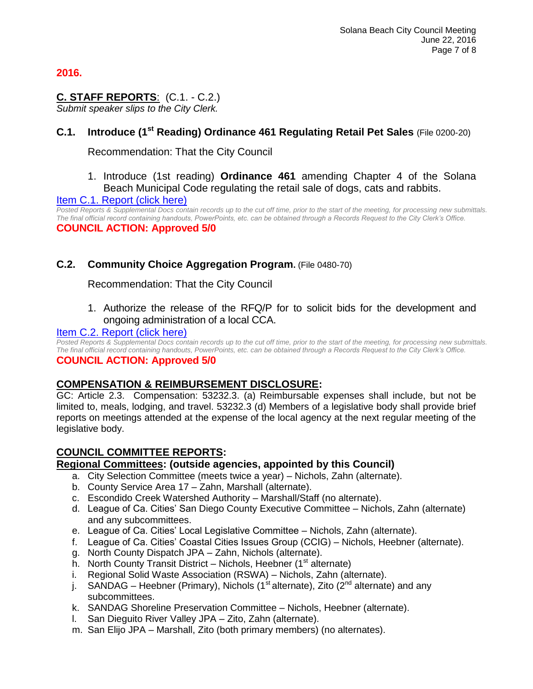# **2016.**

# **C. STAFF REPORTS**: (C.1. - C.2.)

*Submit speaker slips to the City Clerk.*

# **C.1. Introduce (1st Reading) Ordinance 461 Regulating Retail Pet Sales** (File 0200-20)

Recommendation: That the City Council

1. Introduce (1st reading) **Ordinance 461** amending Chapter 4 of the Solana Beach Municipal Code regulating the retail sale of dogs, cats and rabbits.

### [Item C.1. Report \(click here\)](https://solanabeach.govoffice3.com/vertical/Sites/%7B840804C2-F869-4904-9AE3-720581350CE7%7D/uploads/Item_C.1._Report_(click_here)_06-22-16.PDF)

*Posted Reports & Supplemental Docs contain records up to the cut off time, prior to the start of the meeting, for processing new submittals. The final official record containing handouts, PowerPoints, etc. can be obtained through a Records Request to the City Clerk's Office.* **COUNCIL ACTION: Approved 5/0**

# **C.2. Community Choice Aggregation Program.** (File 0480-70)

Recommendation: That the City Council

1. Authorize the release of the RFQ/P for to solicit bids for the development and ongoing administration of a local CCA.

### [Item C.2. Report \(click here\)](https://solanabeach.govoffice3.com/vertical/Sites/%7B840804C2-F869-4904-9AE3-720581350CE7%7D/uploads/Item_C.2._Report_(click_here)_06-22-16.PDF)

*Posted Reports & Supplemental Docs contain records up to the cut off time, prior to the start of the meeting, for processing new submittals. The final official record containing handouts, PowerPoints, etc. can be obtained through a Records Request to the City Clerk's Office.*

# **COUNCIL ACTION: Approved 5/0**

# **COMPENSATION & REIMBURSEMENT DISCLOSURE:**

GC: Article 2.3. Compensation: 53232.3. (a) Reimbursable expenses shall include, but not be limited to, meals, lodging, and travel. 53232.3 (d) Members of a legislative body shall provide brief reports on meetings attended at the expense of the local agency at the next regular meeting of the legislative body.

# **COUNCIL COMMITTEE REPORTS:**

# **Regional Committees: (outside agencies, appointed by this Council)**

- a. City Selection Committee (meets twice a year) Nichols, Zahn (alternate).
- b. County Service Area 17 Zahn, Marshall (alternate).
- c. Escondido Creek Watershed Authority Marshall/Staff (no alternate).
- d. League of Ca. Cities' San Diego County Executive Committee Nichols, Zahn (alternate) and any subcommittees.
- e. League of Ca. Cities' Local Legislative Committee Nichols, Zahn (alternate).
- f. League of Ca. Cities' Coastal Cities Issues Group (CCIG) Nichols, Heebner (alternate).
- g. North County Dispatch JPA Zahn, Nichols (alternate).
- h. North County Transit District Nichols, Heebner  $(1<sup>st</sup>$  alternate)
- i. Regional Solid Waste Association (RSWA) Nichols, Zahn (alternate).
- j. SANDAG Heebner (Primary), Nichols (1<sup>st</sup> alternate), Zito (2<sup>nd</sup> alternate) and any subcommittees.
- k. SANDAG Shoreline Preservation Committee Nichols, Heebner (alternate).
- l. San Dieguito River Valley JPA Zito, Zahn (alternate).
- m. San Elijo JPA Marshall, Zito (both primary members) (no alternates).